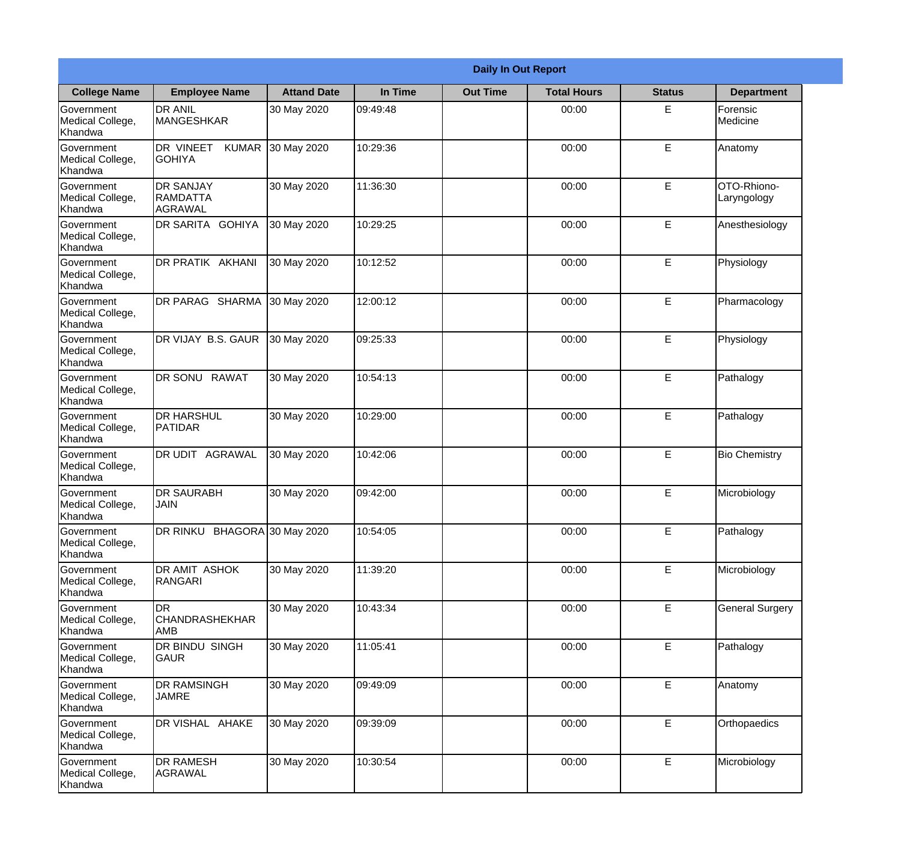|                                           | <b>Daily In Out Report</b>                 |                    |          |                 |                    |               |                            |  |
|-------------------------------------------|--------------------------------------------|--------------------|----------|-----------------|--------------------|---------------|----------------------------|--|
| <b>College Name</b>                       | <b>Employee Name</b>                       | <b>Attand Date</b> | In Time  | <b>Out Time</b> | <b>Total Hours</b> | <b>Status</b> | <b>Department</b>          |  |
| Government<br>Medical College,<br>Khandwa | <b>DR ANIL</b><br><b>MANGESHKAR</b>        | 30 May 2020        | 09:49:48 |                 | 00:00              | E             | Forensic<br>Medicine       |  |
| Government<br>Medical College,<br>Khandwa | DR VINEET<br><b>KUMAR</b><br><b>GOHIYA</b> | 30 May 2020        | 10:29:36 |                 | 00:00              | E             | Anatomy                    |  |
| Government<br>Medical College,<br>Khandwa | DR SANJAY<br><b>RAMDATTA</b><br>AGRAWAL    | 30 May 2020        | 11:36:30 |                 | 00:00              | E             | OTO-Rhiono-<br>Laryngology |  |
| Government<br>Medical College,<br>Khandwa | DR SARITA GOHIYA                           | 30 May 2020        | 10:29:25 |                 | 00:00              | E             | Anesthesiology             |  |
| Government<br>Medical College,<br>Khandwa | DR PRATIK AKHANI                           | 30 May 2020        | 10:12:52 |                 | 00:00              | E             | Physiology                 |  |
| Government<br>Medical College,<br>Khandwa | DR PARAG SHARMA                            | 30 May 2020        | 12:00:12 |                 | 00:00              | E             | Pharmacology               |  |
| Government<br>Medical College,<br>Khandwa | DR VIJAY B.S. GAUR                         | 30 May 2020        | 09:25:33 |                 | 00:00              | E             | Physiology                 |  |
| Government<br>Medical College,<br>Khandwa | DR SONU RAWAT                              | 30 May 2020        | 10:54:13 |                 | 00:00              | E             | Pathalogy                  |  |
| Government<br>Medical College,<br>Khandwa | <b>DR HARSHUL</b><br>PATIDAR               | 30 May 2020        | 10:29:00 |                 | 00:00              | E             | Pathalogy                  |  |
| Government<br>Medical College,<br>Khandwa | DR UDIT AGRAWAL                            | 30 May 2020        | 10:42:06 |                 | 00:00              | E             | <b>Bio Chemistry</b>       |  |
| Government<br>Medical College,<br>Khandwa | <b>DR SAURABH</b><br><b>JAIN</b>           | 30 May 2020        | 09:42:00 |                 | 00:00              | E             | Microbiology               |  |
| Government<br>Medical College,<br>Khandwa | DR RINKU BHAGORA 30 May 2020               |                    | 10:54:05 |                 | 00:00              | E             | Pathalogy                  |  |
| Government<br>Medical College,<br>Khandwa | DR AMIT ASHOK<br><b>RANGARI</b>            | 30 May 2020        | 11:39:20 |                 | 00:00              | E             | Microbiology               |  |
| Government<br>Medical College,<br>Khandwa | <b>DR</b><br><b>CHANDRASHEKHAR</b><br>AMB  | 30 May 2020        | 10:43:34 |                 | 00:00              | E             | <b>General Surgery</b>     |  |
| Government<br>Medical College,<br>Khandwa | DR BINDU SINGH<br>GAUR                     | 30 May 2020        | 11:05:41 |                 | 00:00              | E             | Pathalogy                  |  |
| Government<br>Medical College,<br>Khandwa | DR RAMSINGH<br><b>JAMRE</b>                | 30 May 2020        | 09:49:09 |                 | 00:00              | E             | Anatomy                    |  |
| Government<br>Medical College,<br>Khandwa | DR VISHAL AHAKE                            | 30 May 2020        | 09:39:09 |                 | 00:00              | E             | Orthopaedics               |  |
| Government<br>Medical College,<br>Khandwa | DR RAMESH<br><b>AGRAWAL</b>                | 30 May 2020        | 10:30:54 |                 | 00:00              | E             | Microbiology               |  |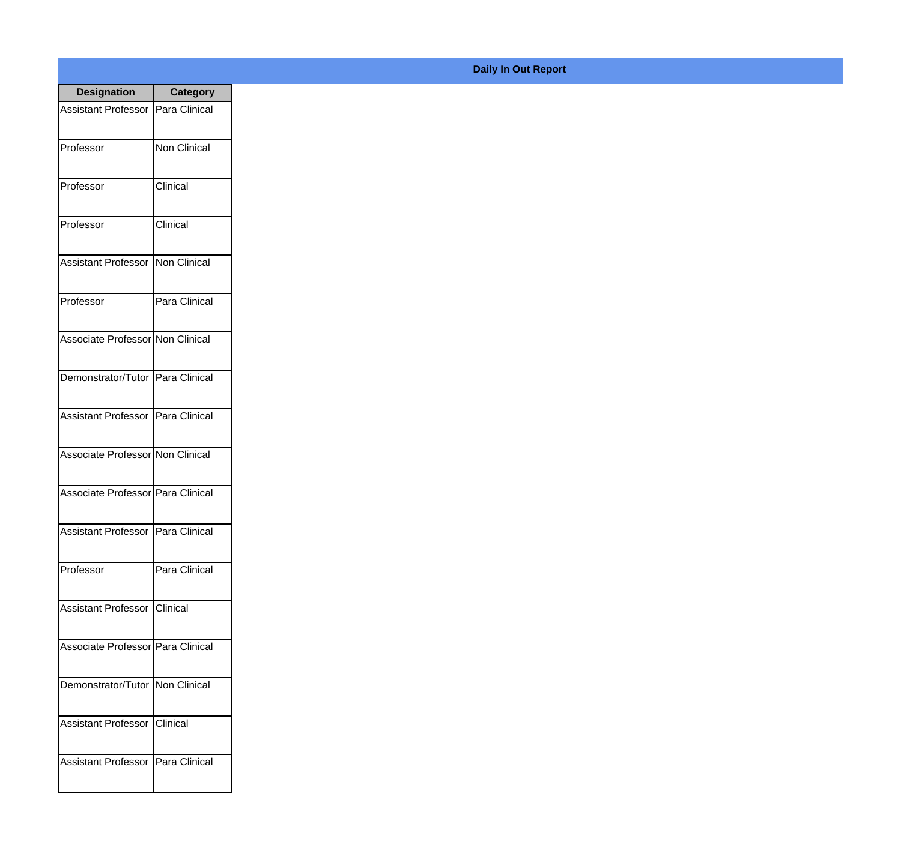| <b>Designation</b>                  | <b>Category</b>     |
|-------------------------------------|---------------------|
| Assistant Professor   Para Clinical |                     |
| Professor                           | <b>Non Clinical</b> |
| Professor                           | Clinical            |
| Professor                           | Clinical            |
| Assistant Professor   Non Clinical  |                     |
| Professor                           | Para Clinical       |
| Associate Professor Non Clinical    |                     |
| Demonstrator/Tutor   Para Clinical  |                     |
| Assistant Professor   Para Clinical |                     |
| Associate Professor Non Clinical    |                     |
| Associate Professor Para Clinical   |                     |
| Assistant Professor   Para Clinical |                     |
| Professor                           | Para Clinical       |
| Assistant Professor   Clinical      |                     |
| Associate Professor Para Clinical   |                     |
| Demonstrator/Tutor   Non Clinical   |                     |
| <b>Assistant Professor</b>          | Clinical            |
| Assistant Professor   Para Clinical |                     |

## **Daily In Out Report**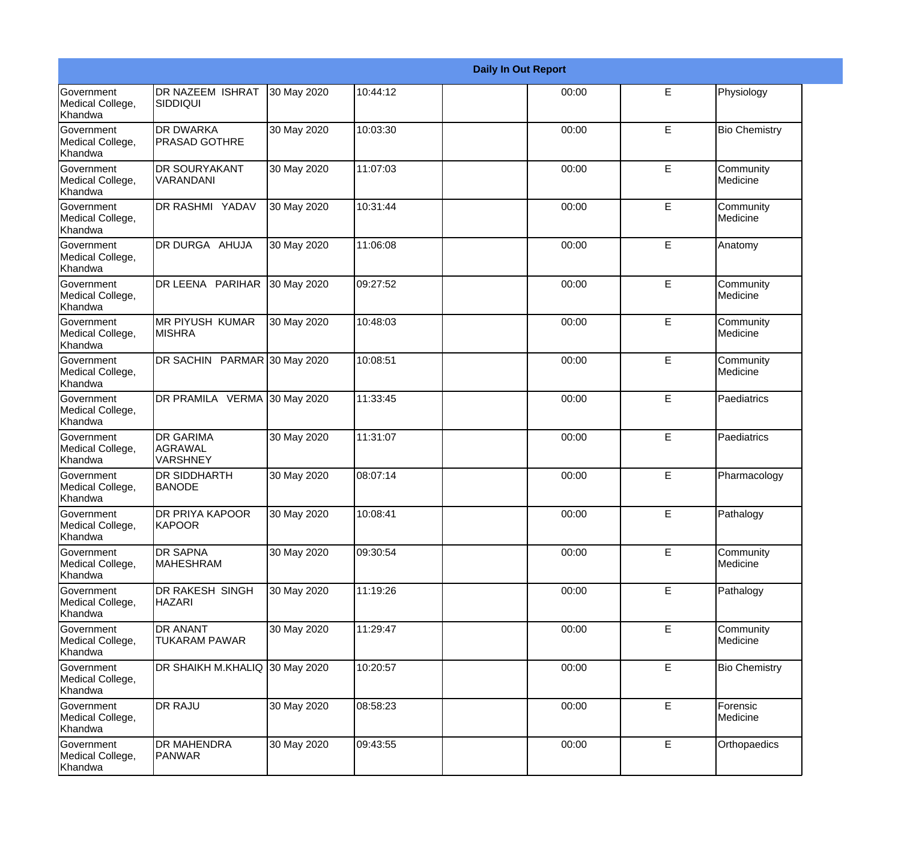|                                                  | <b>Daily In Out Report</b>                     |             |          |  |       |             |                       |
|--------------------------------------------------|------------------------------------------------|-------------|----------|--|-------|-------------|-----------------------|
| <b>Government</b><br>Medical College,<br>Khandwa | <b>DR NAZEEM ISHRAT</b><br><b>SIDDIQUI</b>     | 30 May 2020 | 10:44:12 |  | 00:00 | Е           | Physiology            |
| Government<br>Medical College,<br>Khandwa        | <b>DR DWARKA</b><br><b>PRASAD GOTHRE</b>       | 30 May 2020 | 10:03:30 |  | 00:00 | E           | <b>Bio Chemistry</b>  |
| <b>Government</b><br>Medical College,<br>Khandwa | <b>DR SOURYAKANT</b><br>VARANDANI              | 30 May 2020 | 11:07:03 |  | 00:00 | E           | Community<br>Medicine |
| Government<br>Medical College,<br>Khandwa        | DR RASHMI YADAV                                | 30 May 2020 | 10:31:44 |  | 00:00 | E           | Community<br>Medicine |
| Government<br>Medical College,<br>Khandwa        | DR DURGA AHUJA                                 | 30 May 2020 | 11:06:08 |  | 00:00 | E           | Anatomy               |
| Government<br>Medical College,<br>Khandwa        | DR LEENA PARIHAR                               | 30 May 2020 | 09:27:52 |  | 00:00 | E           | Community<br>Medicine |
| Government<br>Medical College,<br>Khandwa        | <b>MR PIYUSH KUMAR</b><br><b>MISHRA</b>        | 30 May 2020 | 10:48:03 |  | 00:00 | E           | Community<br>Medicine |
| Government<br>Medical College,<br>Khandwa        | DR SACHIN PARMAR 30 May 2020                   |             | 10:08:51 |  | 00:00 | E           | Community<br>Medicine |
| Government<br>Medical College,<br>Khandwa        | DR PRAMILA VERMA 30 May 2020                   |             | 11:33:45 |  | 00:00 | E           | Paediatrics           |
| <b>Government</b><br>Medical College,<br>Khandwa | <b>DR GARIMA</b><br>AGRAWAL<br><b>VARSHNEY</b> | 30 May 2020 | 11:31:07 |  | 00:00 | E           | Paediatrics           |
| Government<br>Medical College,<br>Khandwa        | <b>DR SIDDHARTH</b><br><b>BANODE</b>           | 30 May 2020 | 08:07:14 |  | 00:00 | E           | Pharmacology          |
| Government<br>Medical College,<br>Khandwa        | <b>DR PRIYA KAPOOR</b><br>KAPOOR               | 30 May 2020 | 10:08:41 |  | 00:00 | E           | Pathalogy             |
| Government<br>Medical College,<br>Khandwa        | <b>DR SAPNA</b><br><b>MAHESHRAM</b>            | 30 May 2020 | 09:30:54 |  | 00:00 | E           | Community<br>Medicine |
| Government<br>Medical College,<br>Khandwa        | DR RAKESH SINGH<br><b>HAZARI</b>               | 30 May 2020 | 11:19:26 |  | 00:00 | E           | Pathalogy             |
| Government<br>Medical College,<br>Khandwa        | <b>DR ANANT</b><br><b>TUKARAM PAWAR</b>        | 30 May 2020 | 11:29:47 |  | 00:00 | $\mathsf E$ | Community<br>Medicine |
| Government<br>Medical College,<br>Khandwa        | DR SHAIKH M.KHALIQ 30 May 2020                 |             | 10:20:57 |  | 00:00 | E           | <b>Bio Chemistry</b>  |
| Government<br>Medical College,<br>Khandwa        | <b>DR RAJU</b>                                 | 30 May 2020 | 08:58:23 |  | 00:00 | $\mathsf E$ | Forensic<br>Medicine  |
| Government<br>Medical College,<br>Khandwa        | <b>DR MAHENDRA</b><br>PANWAR                   | 30 May 2020 | 09:43:55 |  | 00:00 | E           | Orthopaedics          |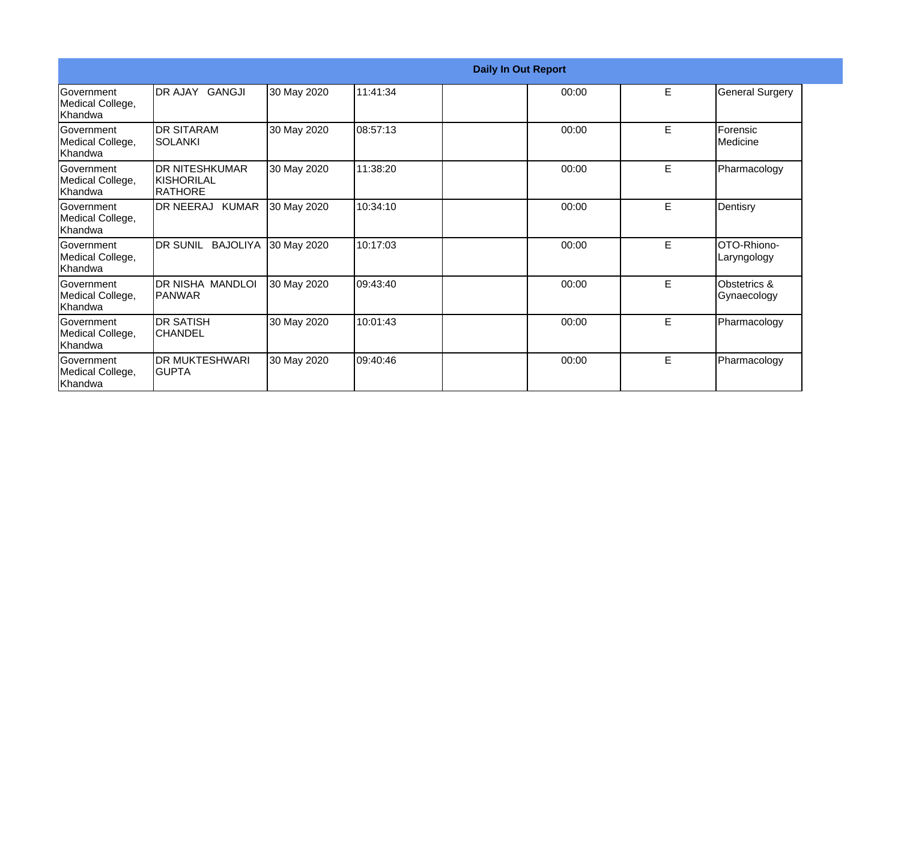|                                                   | <b>Daily In Out Report</b>                       |             |          |       |   |                               |  |  |
|---------------------------------------------------|--------------------------------------------------|-------------|----------|-------|---|-------------------------------|--|--|
| <b>Government</b><br>Medical College,<br>lKhandwa | DR AJAY GANGJI                                   | 30 May 2020 | 11:41:34 | 00:00 | E | <b>General Surgery</b>        |  |  |
| Government<br>Medical College,<br>Khandwa         | <b>DR SITARAM</b><br>ISOLANKI                    | 30 May 2020 | 08:57:13 | 00:00 | E | Forensic<br><b>I</b> Medicine |  |  |
| Government<br>Medical College,<br>lKhandwa        | <b>IDR NITESHKUMAR</b><br>IKISHORILAL<br>RATHORE | 30 May 2020 | 11:38:20 | 00:00 | E | Pharmacology                  |  |  |
| Government<br>Medical College,<br>lKhandwa        | DR NEERAJ KUMAR                                  | 30 May 2020 | 10:34:10 | 00:00 | E | Dentisry                      |  |  |
| Government<br>Medical College,<br>Khandwa         | DR SUNIL BAJOLIYA                                | 30 May 2020 | 10:17:03 | 00:00 | E | OTO-Rhiono-<br>Laryngology    |  |  |
| Government<br>Medical College,<br>Khandwa         | DR NISHA MANDLOI<br><b>IPANWAR</b>               | 30 May 2020 | 09:43:40 | 00:00 | E | Obstetrics &<br>Gynaecology   |  |  |
| Government<br>Medical College,<br>Khandwa         | IDR SATISH<br>ICHANDEL                           | 30 May 2020 | 10:01:43 | 00:00 | E | Pharmacology                  |  |  |
| Government<br>Medical College,<br>Khandwa         | <b>DR MUKTESHWARI</b><br>IGUPTA                  | 30 May 2020 | 09:40:46 | 00:00 | E | Pharmacology                  |  |  |